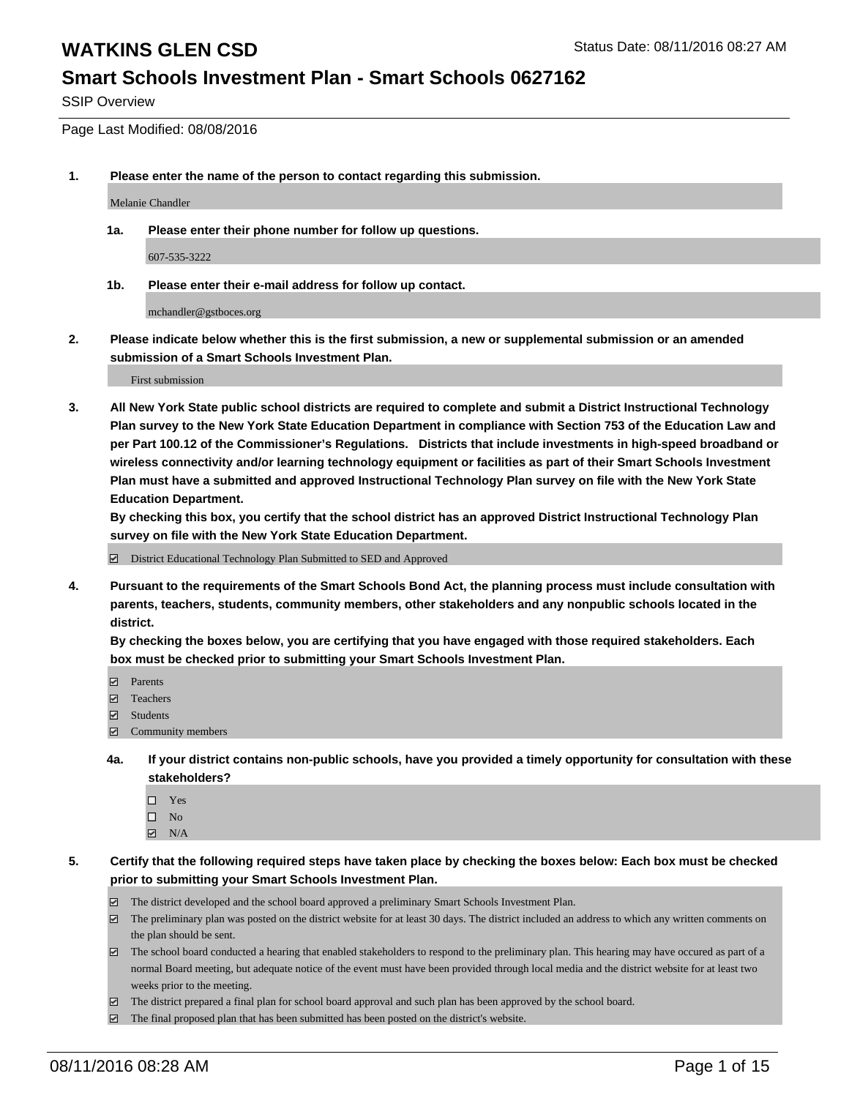### **Smart Schools Investment Plan - Smart Schools 0627162**

SSIP Overview

Page Last Modified: 08/08/2016

**1. Please enter the name of the person to contact regarding this submission.**

Melanie Chandler

**1a. Please enter their phone number for follow up questions.**

607-535-3222

**1b. Please enter their e-mail address for follow up contact.**

mchandler@gstboces.org

**2. Please indicate below whether this is the first submission, a new or supplemental submission or an amended submission of a Smart Schools Investment Plan.**

First submission

**3. All New York State public school districts are required to complete and submit a District Instructional Technology Plan survey to the New York State Education Department in compliance with Section 753 of the Education Law and per Part 100.12 of the Commissioner's Regulations. Districts that include investments in high-speed broadband or wireless connectivity and/or learning technology equipment or facilities as part of their Smart Schools Investment Plan must have a submitted and approved Instructional Technology Plan survey on file with the New York State Education Department.** 

**By checking this box, you certify that the school district has an approved District Instructional Technology Plan survey on file with the New York State Education Department.**

District Educational Technology Plan Submitted to SED and Approved

**4. Pursuant to the requirements of the Smart Schools Bond Act, the planning process must include consultation with parents, teachers, students, community members, other stakeholders and any nonpublic schools located in the district.** 

**By checking the boxes below, you are certifying that you have engaged with those required stakeholders. Each box must be checked prior to submitting your Smart Schools Investment Plan.**

- **Parents**
- Teachers
- $\blacksquare$  Students
- Community members
- **4a. If your district contains non-public schools, have you provided a timely opportunity for consultation with these stakeholders?**
	- $\Box$  Yes  $\square$  No
	- $\boxtimes$  N/A
- **5. Certify that the following required steps have taken place by checking the boxes below: Each box must be checked prior to submitting your Smart Schools Investment Plan.**
	- The district developed and the school board approved a preliminary Smart Schools Investment Plan.
	- $\boxdot$  The preliminary plan was posted on the district website for at least 30 days. The district included an address to which any written comments on the plan should be sent.
	- $\Box$  The school board conducted a hearing that enabled stakeholders to respond to the preliminary plan. This hearing may have occured as part of a normal Board meeting, but adequate notice of the event must have been provided through local media and the district website for at least two weeks prior to the meeting.
	- The district prepared a final plan for school board approval and such plan has been approved by the school board.
	- $\boxdot$  The final proposed plan that has been submitted has been posted on the district's website.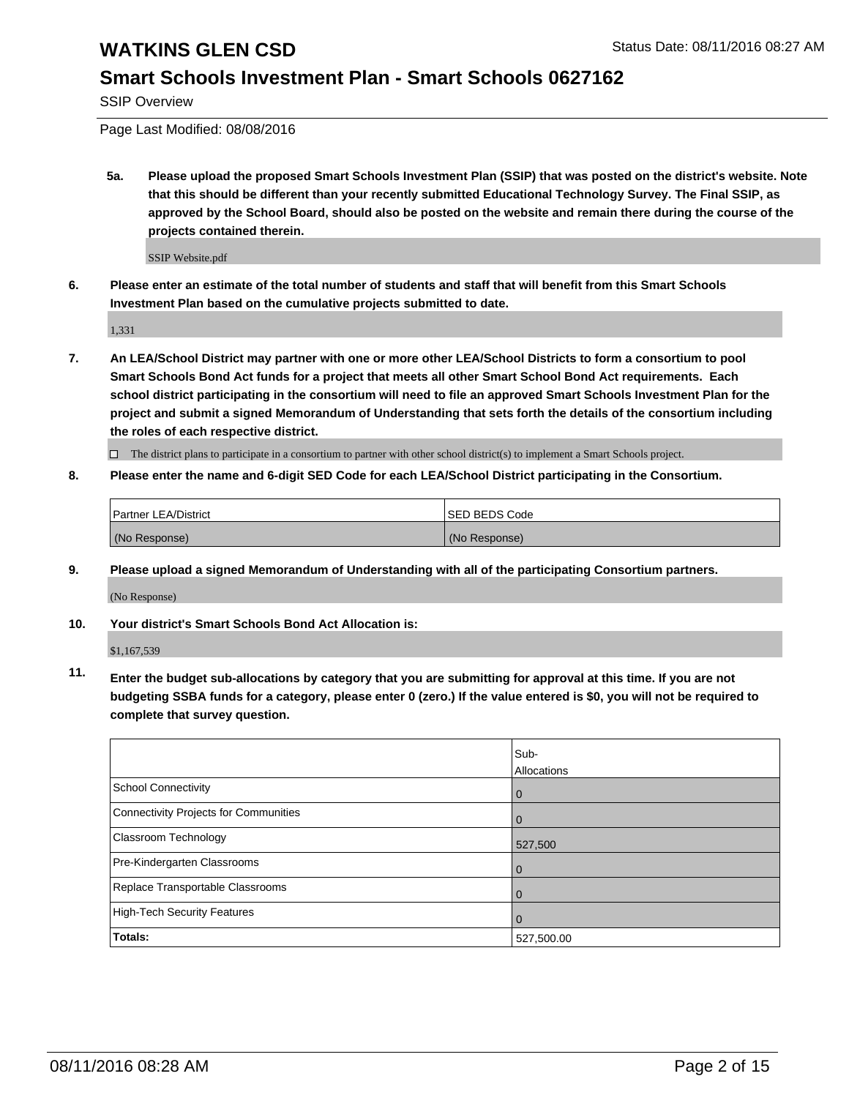### **Smart Schools Investment Plan - Smart Schools 0627162**

SSIP Overview

Page Last Modified: 08/08/2016

**5a. Please upload the proposed Smart Schools Investment Plan (SSIP) that was posted on the district's website. Note that this should be different than your recently submitted Educational Technology Survey. The Final SSIP, as approved by the School Board, should also be posted on the website and remain there during the course of the projects contained therein.**

SSIP Website.pdf

**6. Please enter an estimate of the total number of students and staff that will benefit from this Smart Schools Investment Plan based on the cumulative projects submitted to date.**

1,331

**7. An LEA/School District may partner with one or more other LEA/School Districts to form a consortium to pool Smart Schools Bond Act funds for a project that meets all other Smart School Bond Act requirements. Each school district participating in the consortium will need to file an approved Smart Schools Investment Plan for the project and submit a signed Memorandum of Understanding that sets forth the details of the consortium including the roles of each respective district.**

 $\Box$  The district plans to participate in a consortium to partner with other school district(s) to implement a Smart Schools project.

#### **8. Please enter the name and 6-digit SED Code for each LEA/School District participating in the Consortium.**

| <b>Partner LEA/District</b> | <b>ISED BEDS Code</b> |
|-----------------------------|-----------------------|
| (No Response)               | (No Response)         |

**9. Please upload a signed Memorandum of Understanding with all of the participating Consortium partners.**

(No Response)

**10. Your district's Smart Schools Bond Act Allocation is:**

\$1,167,539

**11. Enter the budget sub-allocations by category that you are submitting for approval at this time. If you are not budgeting SSBA funds for a category, please enter 0 (zero.) If the value entered is \$0, you will not be required to complete that survey question.**

|                                       | Sub-        |
|---------------------------------------|-------------|
|                                       | Allocations |
| <b>School Connectivity</b>            | $\mathbf 0$ |
| Connectivity Projects for Communities |             |
| Classroom Technology                  | 527,500     |
| Pre-Kindergarten Classrooms           |             |
| Replace Transportable Classrooms      | Û           |
| High-Tech Security Features           |             |
| Totals:                               | 527,500.00  |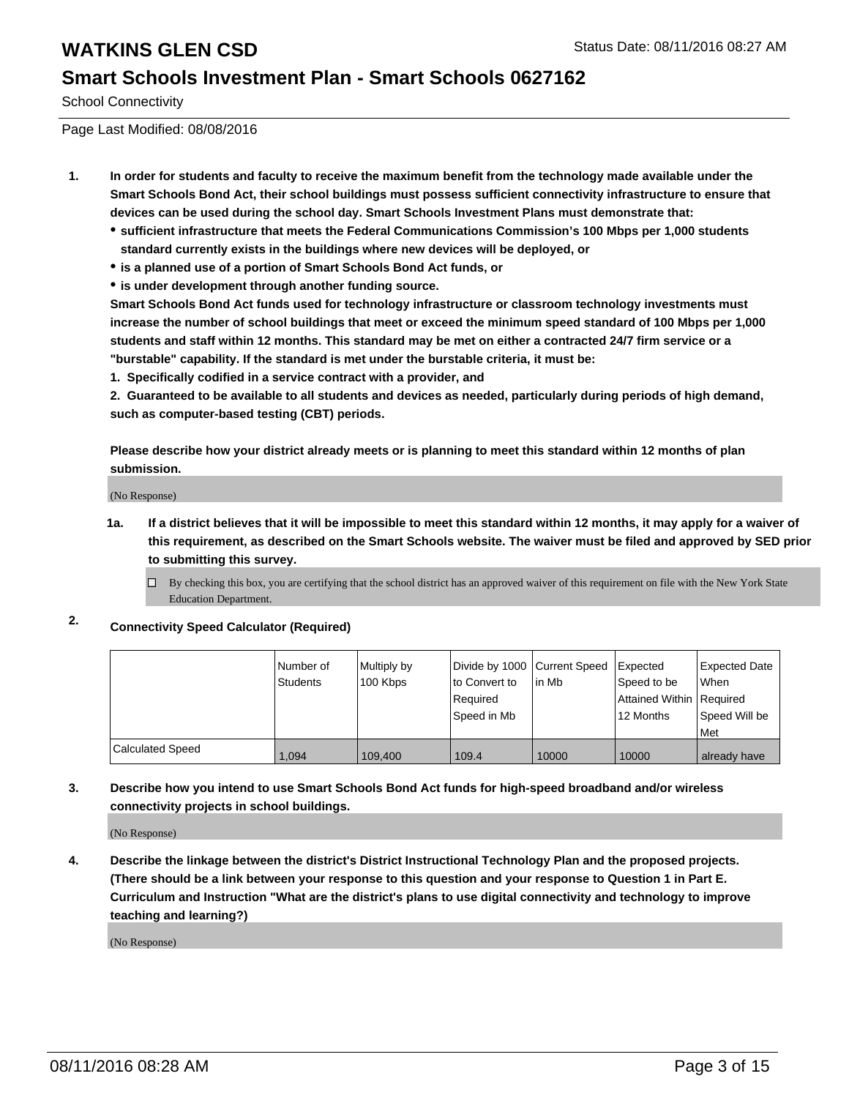### **Smart Schools Investment Plan - Smart Schools 0627162**

School Connectivity

Page Last Modified: 08/08/2016

- **1. In order for students and faculty to receive the maximum benefit from the technology made available under the Smart Schools Bond Act, their school buildings must possess sufficient connectivity infrastructure to ensure that devices can be used during the school day. Smart Schools Investment Plans must demonstrate that:**
	- **sufficient infrastructure that meets the Federal Communications Commission's 100 Mbps per 1,000 students standard currently exists in the buildings where new devices will be deployed, or**
	- **is a planned use of a portion of Smart Schools Bond Act funds, or**
	- **is under development through another funding source.**

**Smart Schools Bond Act funds used for technology infrastructure or classroom technology investments must increase the number of school buildings that meet or exceed the minimum speed standard of 100 Mbps per 1,000 students and staff within 12 months. This standard may be met on either a contracted 24/7 firm service or a "burstable" capability. If the standard is met under the burstable criteria, it must be:**

**1. Specifically codified in a service contract with a provider, and**

**2. Guaranteed to be available to all students and devices as needed, particularly during periods of high demand, such as computer-based testing (CBT) periods.**

**Please describe how your district already meets or is planning to meet this standard within 12 months of plan submission.**

(No Response)

- **1a. If a district believes that it will be impossible to meet this standard within 12 months, it may apply for a waiver of this requirement, as described on the Smart Schools website. The waiver must be filed and approved by SED prior to submitting this survey.**
	- $\Box$ By checking this box, you are certifying that the school district has an approved waiver of this requirement on file with the New York State Education Department.
- **2. Connectivity Speed Calculator (Required)**

|                  | l Number of<br>Students | Multiply by<br>100 Kbps | Divide by 1000 Current Speed<br>to Convert to<br>Required<br>lSpeed in Mb | lin Mb | <b>I</b> Expected<br>Speed to be<br>Attained Within   Required<br>12 Months | Expected Date<br>l When<br>Speed Will be<br>l Met |
|------------------|-------------------------|-------------------------|---------------------------------------------------------------------------|--------|-----------------------------------------------------------------------------|---------------------------------------------------|
| Calculated Speed | 1.094                   | 109.400                 | 109.4                                                                     | 10000  | 10000                                                                       | already have                                      |

**3. Describe how you intend to use Smart Schools Bond Act funds for high-speed broadband and/or wireless connectivity projects in school buildings.**

(No Response)

**4. Describe the linkage between the district's District Instructional Technology Plan and the proposed projects. (There should be a link between your response to this question and your response to Question 1 in Part E. Curriculum and Instruction "What are the district's plans to use digital connectivity and technology to improve teaching and learning?)**

(No Response)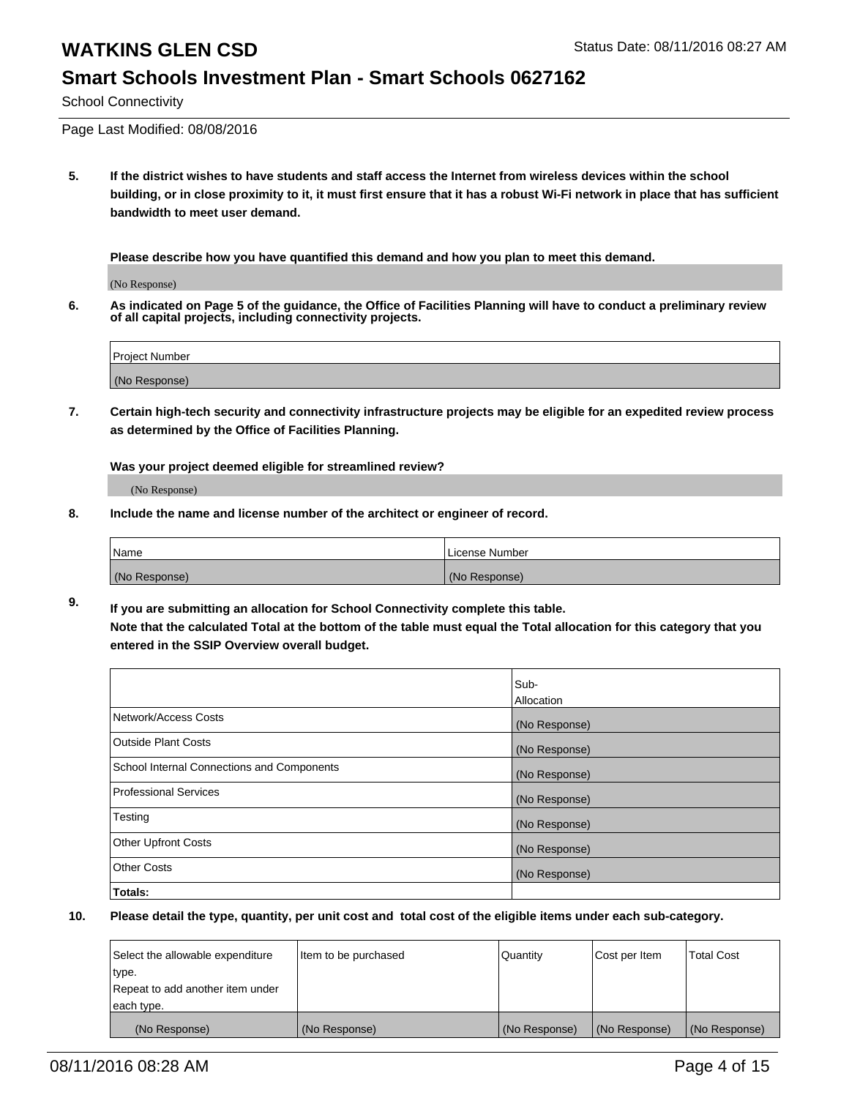### **Smart Schools Investment Plan - Smart Schools 0627162**

School Connectivity

Page Last Modified: 08/08/2016

**5. If the district wishes to have students and staff access the Internet from wireless devices within the school building, or in close proximity to it, it must first ensure that it has a robust Wi-Fi network in place that has sufficient bandwidth to meet user demand.**

**Please describe how you have quantified this demand and how you plan to meet this demand.**

(No Response)

**6. As indicated on Page 5 of the guidance, the Office of Facilities Planning will have to conduct a preliminary review of all capital projects, including connectivity projects.**

| Project Number |  |
|----------------|--|
|                |  |
| (No Response)  |  |

**7. Certain high-tech security and connectivity infrastructure projects may be eligible for an expedited review process as determined by the Office of Facilities Planning.**

**Was your project deemed eligible for streamlined review?**

(No Response)

**8. Include the name and license number of the architect or engineer of record.**

| <i>Name</i>   | License Number |
|---------------|----------------|
| (No Response) | (No Response)  |

**9. If you are submitting an allocation for School Connectivity complete this table. Note that the calculated Total at the bottom of the table must equal the Total allocation for this category that you entered in the SSIP Overview overall budget.** 

|                                            | Sub-          |
|--------------------------------------------|---------------|
|                                            | Allocation    |
| Network/Access Costs                       | (No Response) |
| <b>Outside Plant Costs</b>                 | (No Response) |
| School Internal Connections and Components | (No Response) |
| Professional Services                      | (No Response) |
| Testing                                    | (No Response) |
| <b>Other Upfront Costs</b>                 | (No Response) |
| <b>Other Costs</b>                         | (No Response) |
| Totals:                                    |               |

| Select the allowable expenditure | litem to be purchased | Quantity      | Cost per Item | <b>Total Cost</b> |
|----------------------------------|-----------------------|---------------|---------------|-------------------|
| type.                            |                       |               |               |                   |
| Repeat to add another item under |                       |               |               |                   |
| each type.                       |                       |               |               |                   |
| (No Response)                    | (No Response)         | (No Response) | (No Response) | (No Response)     |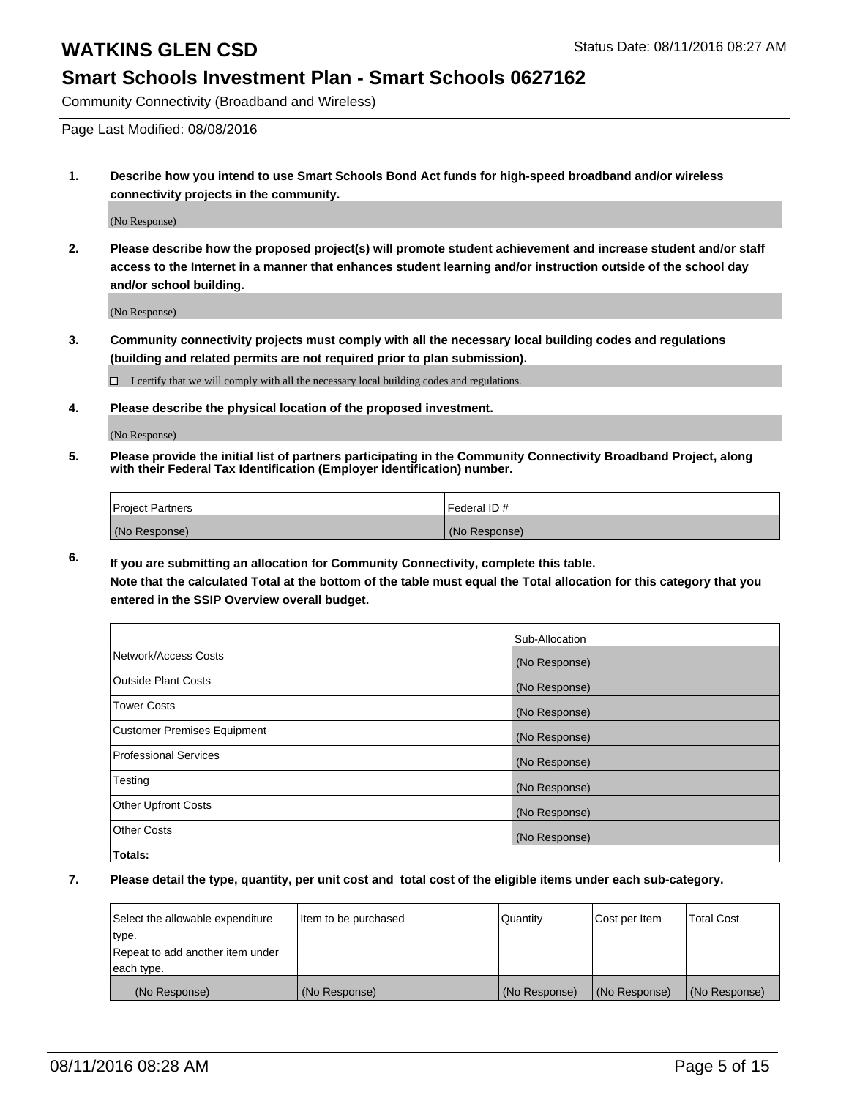### **Smart Schools Investment Plan - Smart Schools 0627162**

Community Connectivity (Broadband and Wireless)

Page Last Modified: 08/08/2016

**1. Describe how you intend to use Smart Schools Bond Act funds for high-speed broadband and/or wireless connectivity projects in the community.**

(No Response)

**2. Please describe how the proposed project(s) will promote student achievement and increase student and/or staff access to the Internet in a manner that enhances student learning and/or instruction outside of the school day and/or school building.**

(No Response)

**3. Community connectivity projects must comply with all the necessary local building codes and regulations (building and related permits are not required prior to plan submission).**

 $\Box$  I certify that we will comply with all the necessary local building codes and regulations.

**4. Please describe the physical location of the proposed investment.**

(No Response)

**5. Please provide the initial list of partners participating in the Community Connectivity Broadband Project, along with their Federal Tax Identification (Employer Identification) number.**

| Project Partners | l Federal ID # |
|------------------|----------------|
| (No Response)    | (No Response)  |

**6. If you are submitting an allocation for Community Connectivity, complete this table. Note that the calculated Total at the bottom of the table must equal the Total allocation for this category that you**

**entered in the SSIP Overview overall budget.**

|                             | Sub-Allocation |
|-----------------------------|----------------|
| Network/Access Costs        | (No Response)  |
| <b>Outside Plant Costs</b>  | (No Response)  |
| Tower Costs                 | (No Response)  |
| Customer Premises Equipment | (No Response)  |
| Professional Services       | (No Response)  |
| Testing                     | (No Response)  |
| <b>Other Upfront Costs</b>  | (No Response)  |
| Other Costs                 | (No Response)  |
| Totals:                     |                |

| Select the allowable expenditure | Item to be purchased | Quantity      | Cost per Item | <b>Total Cost</b> |
|----------------------------------|----------------------|---------------|---------------|-------------------|
| type.                            |                      |               |               |                   |
| Repeat to add another item under |                      |               |               |                   |
| each type.                       |                      |               |               |                   |
| (No Response)                    | (No Response)        | (No Response) | (No Response) | (No Response)     |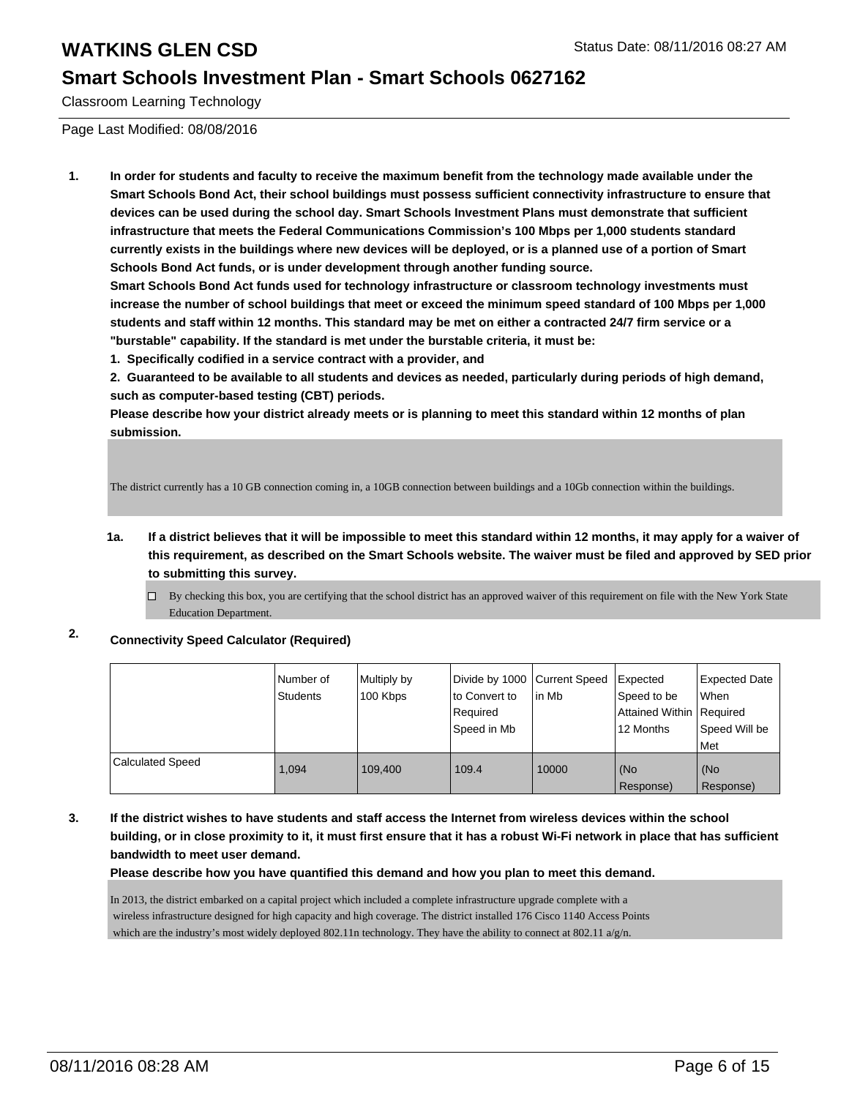### **Smart Schools Investment Plan - Smart Schools 0627162**

Classroom Learning Technology

Page Last Modified: 08/08/2016

**1. In order for students and faculty to receive the maximum benefit from the technology made available under the Smart Schools Bond Act, their school buildings must possess sufficient connectivity infrastructure to ensure that devices can be used during the school day. Smart Schools Investment Plans must demonstrate that sufficient infrastructure that meets the Federal Communications Commission's 100 Mbps per 1,000 students standard currently exists in the buildings where new devices will be deployed, or is a planned use of a portion of Smart Schools Bond Act funds, or is under development through another funding source.**

**Smart Schools Bond Act funds used for technology infrastructure or classroom technology investments must increase the number of school buildings that meet or exceed the minimum speed standard of 100 Mbps per 1,000 students and staff within 12 months. This standard may be met on either a contracted 24/7 firm service or a "burstable" capability. If the standard is met under the burstable criteria, it must be:**

**1. Specifically codified in a service contract with a provider, and**

**2. Guaranteed to be available to all students and devices as needed, particularly during periods of high demand, such as computer-based testing (CBT) periods.**

**Please describe how your district already meets or is planning to meet this standard within 12 months of plan submission.**

The district currently has a 10 GB connection coming in, a 10GB connection between buildings and a 10Gb connection within the buildings.

- **1a. If a district believes that it will be impossible to meet this standard within 12 months, it may apply for a waiver of this requirement, as described on the Smart Schools website. The waiver must be filed and approved by SED prior to submitting this survey.**
	- By checking this box, you are certifying that the school district has an approved waiver of this requirement on file with the New York State  $\Box$ Education Department.

### **2. Connectivity Speed Calculator (Required)**

|                  | INumber of<br><b>Students</b> | Multiply by<br>100 Kbps | Divide by 1000 Current Speed<br>to Convert to<br>Required<br>Speed in Mb | lin Mb | Expected<br>Speed to be<br>Attained Within   Required<br>12 Months | <b>Expected Date</b><br>When<br>Speed Will be<br>Met |
|------------------|-------------------------------|-------------------------|--------------------------------------------------------------------------|--------|--------------------------------------------------------------------|------------------------------------------------------|
| Calculated Speed | 1.094                         | 109.400                 | 109.4                                                                    | 10000  | (No<br>Response)                                                   | (No<br>Response)                                     |

**3. If the district wishes to have students and staff access the Internet from wireless devices within the school building, or in close proximity to it, it must first ensure that it has a robust Wi-Fi network in place that has sufficient bandwidth to meet user demand.**

**Please describe how you have quantified this demand and how you plan to meet this demand.**

In 2013, the district embarked on a capital project which included a complete infrastructure upgrade complete with a wireless infrastructure designed for high capacity and high coverage. The district installed 176 Cisco 1140 Access Points which are the industry's most widely deployed 802.11n technology. They have the ability to connect at 802.11  $a/g/n$ .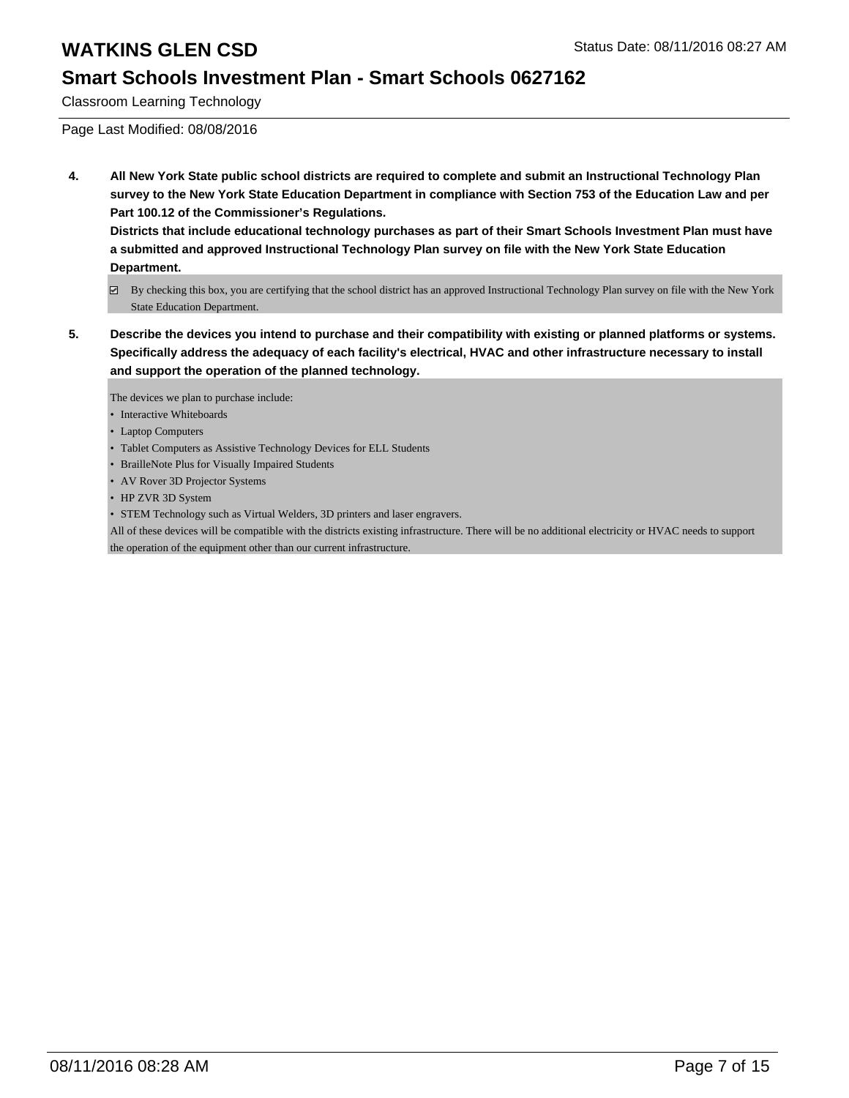### **Smart Schools Investment Plan - Smart Schools 0627162**

Classroom Learning Technology

Page Last Modified: 08/08/2016

**4. All New York State public school districts are required to complete and submit an Instructional Technology Plan survey to the New York State Education Department in compliance with Section 753 of the Education Law and per Part 100.12 of the Commissioner's Regulations.**

**Districts that include educational technology purchases as part of their Smart Schools Investment Plan must have a submitted and approved Instructional Technology Plan survey on file with the New York State Education Department.**

- By checking this box, you are certifying that the school district has an approved Instructional Technology Plan survey on file with the New York State Education Department.
- **5. Describe the devices you intend to purchase and their compatibility with existing or planned platforms or systems. Specifically address the adequacy of each facility's electrical, HVAC and other infrastructure necessary to install and support the operation of the planned technology.**

The devices we plan to purchase include:

- Interactive Whiteboards
- Laptop Computers
- Tablet Computers as Assistive Technology Devices for ELL Students
- BrailleNote Plus for Visually Impaired Students
- AV Rover 3D Projector Systems
- HP ZVR 3D System
- STEM Technology such as Virtual Welders, 3D printers and laser engravers.

All of these devices will be compatible with the districts existing infrastructure. There will be no additional electricity or HVAC needs to support the operation of the equipment other than our current infrastructure.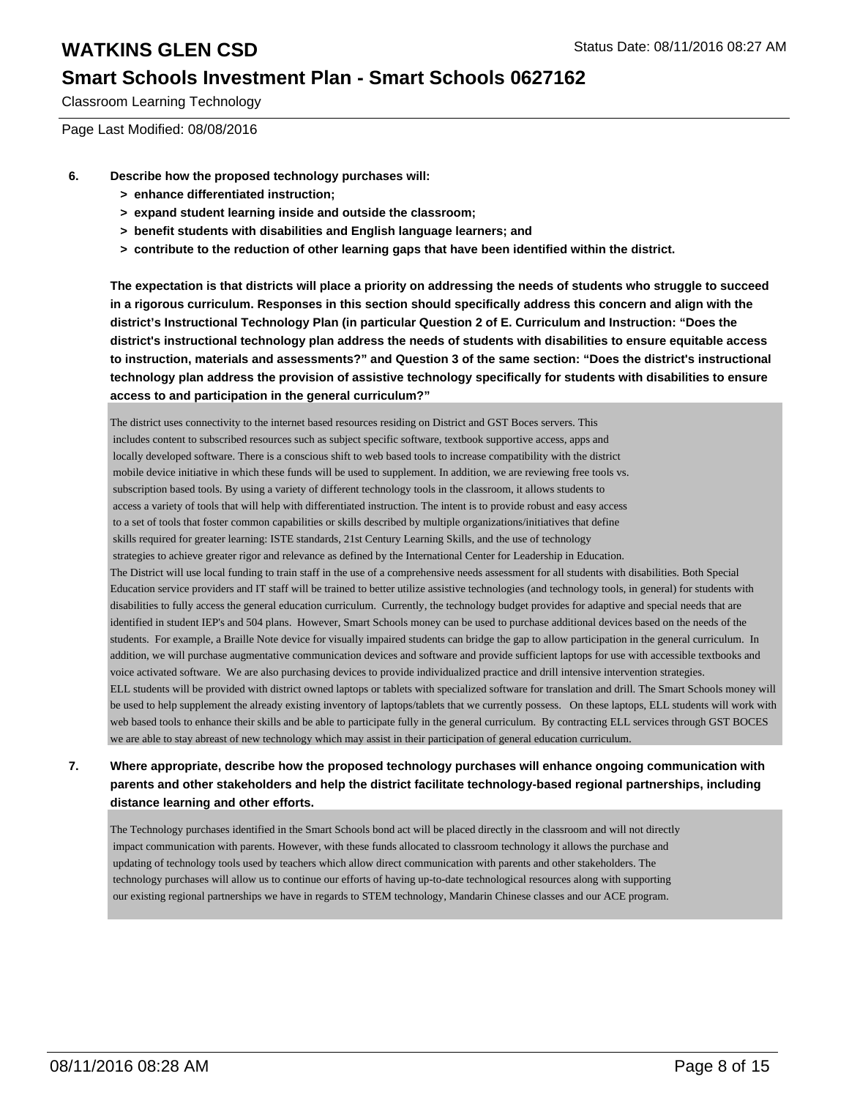### **Smart Schools Investment Plan - Smart Schools 0627162**

Classroom Learning Technology

Page Last Modified: 08/08/2016

- **6. Describe how the proposed technology purchases will:**
	- **> enhance differentiated instruction;**
	- **> expand student learning inside and outside the classroom;**
	- **> benefit students with disabilities and English language learners; and**
	- **> contribute to the reduction of other learning gaps that have been identified within the district.**

**The expectation is that districts will place a priority on addressing the needs of students who struggle to succeed in a rigorous curriculum. Responses in this section should specifically address this concern and align with the district's Instructional Technology Plan (in particular Question 2 of E. Curriculum and Instruction: "Does the district's instructional technology plan address the needs of students with disabilities to ensure equitable access to instruction, materials and assessments?" and Question 3 of the same section: "Does the district's instructional technology plan address the provision of assistive technology specifically for students with disabilities to ensure access to and participation in the general curriculum?"**

The district uses connectivity to the internet based resources residing on District and GST Boces servers. This includes content to subscribed resources such as subject specific software, textbook supportive access, apps and locally developed software. There is a conscious shift to web based tools to increase compatibility with the district mobile device initiative in which these funds will be used to supplement. In addition, we are reviewing free tools vs. subscription based tools. By using a variety of different technology tools in the classroom, it allows students to access a variety of tools that will help with differentiated instruction. The intent is to provide robust and easy access to a set of tools that foster common capabilities or skills described by multiple organizations/initiatives that define skills required for greater learning: ISTE standards, 21st Century Learning Skills, and the use of technology strategies to achieve greater rigor and relevance as defined by the International Center for Leadership in Education. The District will use local funding to train staff in the use of a comprehensive needs assessment for all students with disabilities. Both Special Education service providers and IT staff will be trained to better utilize assistive technologies (and technology tools, in general) for students with disabilities to fully access the general education curriculum. Currently, the technology budget provides for adaptive and special needs that are identified in student IEP's and 504 plans. However, Smart Schools money can be used to purchase additional devices based on the needs of the students. For example, a Braille Note device for visually impaired students can bridge the gap to allow participation in the general curriculum. In addition, we will purchase augmentative communication devices and software and provide sufficient laptops for use with accessible textbooks and voice activated software. We are also purchasing devices to provide individualized practice and drill intensive intervention strategies. ELL students will be provided with district owned laptops or tablets with specialized software for translation and drill. The Smart Schools money will be used to help supplement the already existing inventory of laptops/tablets that we currently possess. On these laptops, ELL students will work with web based tools to enhance their skills and be able to participate fully in the general curriculum. By contracting ELL services through GST BOCES we are able to stay abreast of new technology which may assist in their participation of general education curriculum.

#### **7. Where appropriate, describe how the proposed technology purchases will enhance ongoing communication with parents and other stakeholders and help the district facilitate technology-based regional partnerships, including distance learning and other efforts.**

The Technology purchases identified in the Smart Schools bond act will be placed directly in the classroom and will not directly impact communication with parents. However, with these funds allocated to classroom technology it allows the purchase and updating of technology tools used by teachers which allow direct communication with parents and other stakeholders. The technology purchases will allow us to continue our efforts of having up-to-date technological resources along with supporting our existing regional partnerships we have in regards to STEM technology, Mandarin Chinese classes and our ACE program.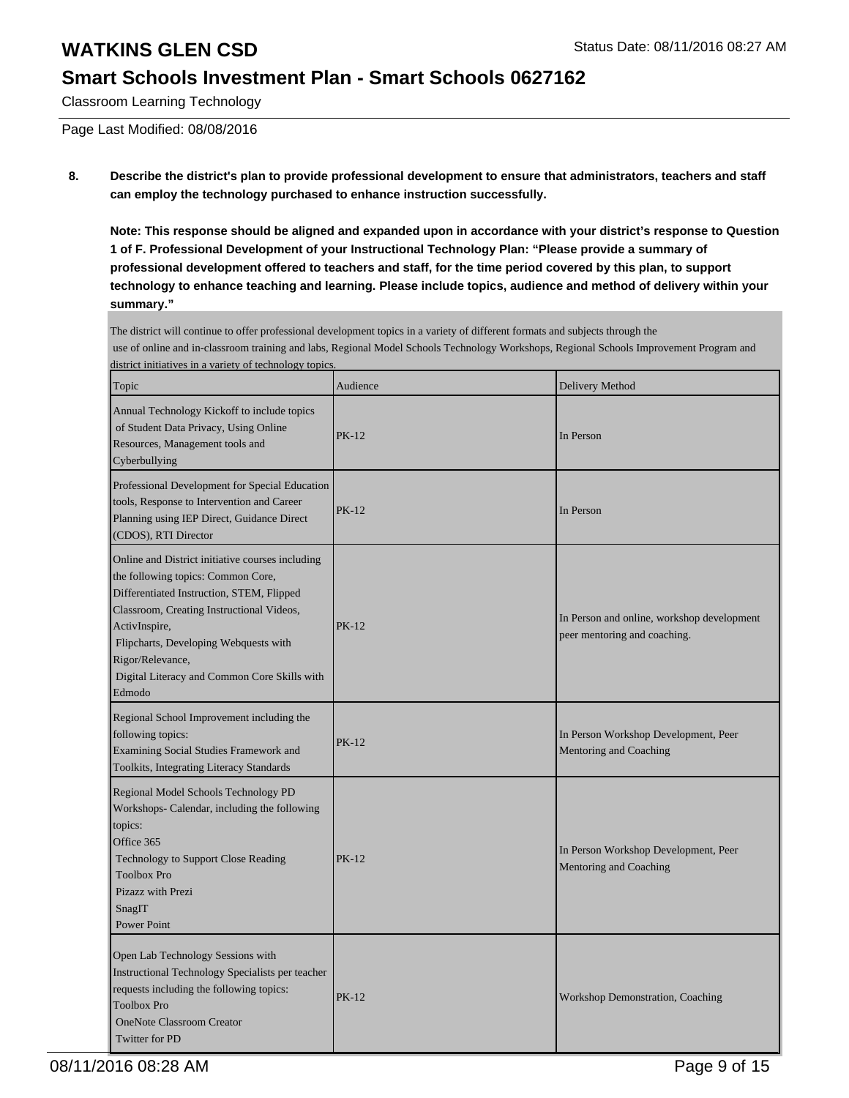### **Smart Schools Investment Plan - Smart Schools 0627162**

Classroom Learning Technology

Page Last Modified: 08/08/2016

#### **8. Describe the district's plan to provide professional development to ensure that administrators, teachers and staff can employ the technology purchased to enhance instruction successfully.**

**Note: This response should be aligned and expanded upon in accordance with your district's response to Question 1 of F. Professional Development of your Instructional Technology Plan: "Please provide a summary of professional development offered to teachers and staff, for the time period covered by this plan, to support technology to enhance teaching and learning. Please include topics, audience and method of delivery within your summary."**

The district will continue to offer professional development topics in a variety of different formats and subjects through the use of online and in-classroom training and labs, Regional Model Schools Technology Workshops, Regional Schools Improvement Program and district initiatives in a variety of technology topics.

| Topic                                                                                                                                                                                                                                                                                                                    | Audience     | Delivery Method                                                            |
|--------------------------------------------------------------------------------------------------------------------------------------------------------------------------------------------------------------------------------------------------------------------------------------------------------------------------|--------------|----------------------------------------------------------------------------|
| Annual Technology Kickoff to include topics<br>of Student Data Privacy, Using Online<br>Resources, Management tools and<br>Cyberbullying                                                                                                                                                                                 | <b>PK-12</b> | In Person                                                                  |
| Professional Development for Special Education<br>tools, Response to Intervention and Career<br>Planning using IEP Direct, Guidance Direct<br>(CDOS), RTI Director                                                                                                                                                       | <b>PK-12</b> | In Person                                                                  |
| Online and District initiative courses including<br>the following topics: Common Core,<br>Differentiated Instruction, STEM, Flipped<br>Classroom, Creating Instructional Videos,<br>ActivInspire,<br>Flipcharts, Developing Webquests with<br>Rigor/Relevance,<br>Digital Literacy and Common Core Skills with<br>Edmodo | <b>PK-12</b> | In Person and online, workshop development<br>peer mentoring and coaching. |
| Regional School Improvement including the<br>following topics:<br>Examining Social Studies Framework and<br>Toolkits, Integrating Literacy Standards                                                                                                                                                                     | <b>PK-12</b> | In Person Workshop Development, Peer<br>Mentoring and Coaching             |
| Regional Model Schools Technology PD<br>Workshops- Calendar, including the following<br>topics:<br>Office 365<br>Technology to Support Close Reading<br><b>Toolbox Pro</b><br>Pizazz with Prezi<br>SnagIT<br><b>Power Point</b>                                                                                          | <b>PK-12</b> | In Person Workshop Development, Peer<br>Mentoring and Coaching             |
| Open Lab Technology Sessions with<br>Instructional Technology Specialists per teacher<br>requests including the following topics:<br><b>Toolbox Pro</b><br><b>OneNote Classroom Creator</b><br><b>Twitter for PD</b>                                                                                                     | PK-12        | Workshop Demonstration, Coaching                                           |

08/11/2016 08:28 AM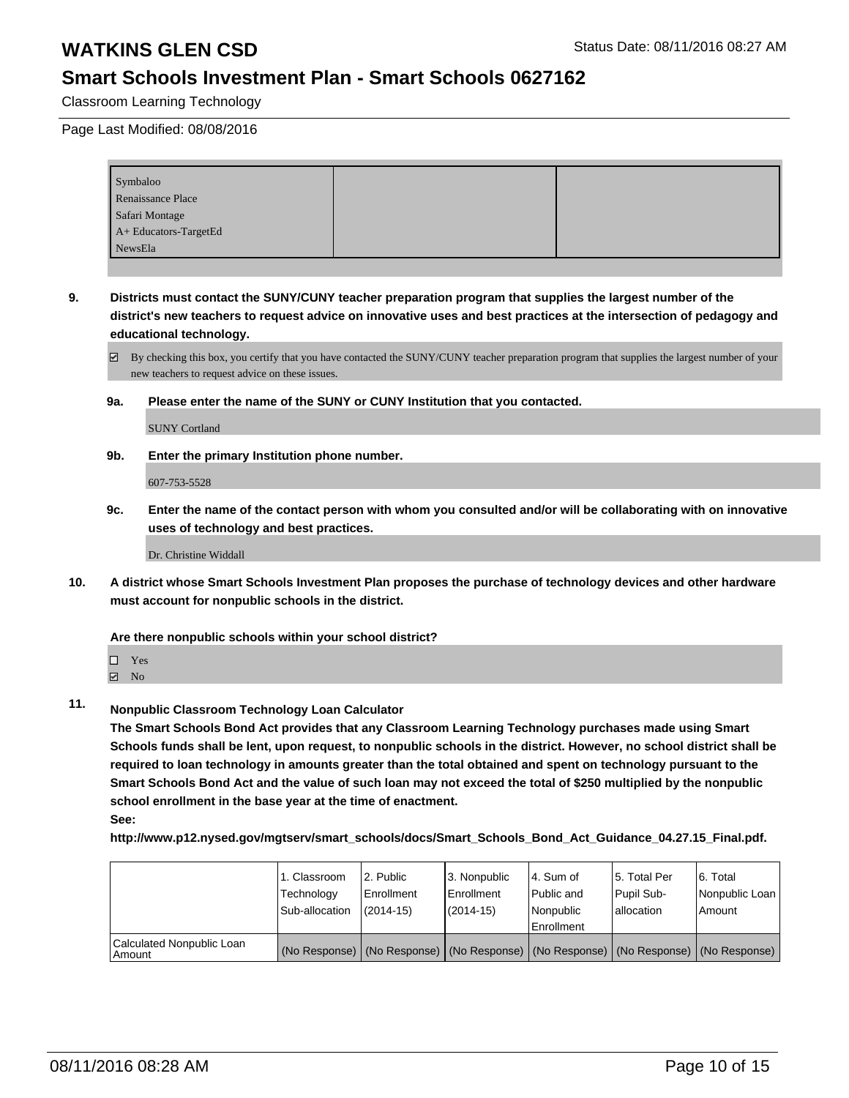### **Smart Schools Investment Plan - Smart Schools 0627162**

Classroom Learning Technology

Page Last Modified: 08/08/2016

| Symbaloo              |  |
|-----------------------|--|
| Renaissance Place     |  |
| Safari Montage        |  |
| A+ Educators-TargetEd |  |
| NewsEla               |  |

**9. Districts must contact the SUNY/CUNY teacher preparation program that supplies the largest number of the district's new teachers to request advice on innovative uses and best practices at the intersection of pedagogy and educational technology.**

 $\boxtimes$  By checking this box, you certify that you have contacted the SUNY/CUNY teacher preparation program that supplies the largest number of your new teachers to request advice on these issues.

**9a. Please enter the name of the SUNY or CUNY Institution that you contacted.**

SUNY Cortland

**9b. Enter the primary Institution phone number.**

607-753-5528

**9c. Enter the name of the contact person with whom you consulted and/or will be collaborating with on innovative uses of technology and best practices.**

Dr. Christine Widdall

**10. A district whose Smart Schools Investment Plan proposes the purchase of technology devices and other hardware must account for nonpublic schools in the district.**

**Are there nonpublic schools within your school district?**

Yes

 $\blacksquare$  No

**11. Nonpublic Classroom Technology Loan Calculator**

**The Smart Schools Bond Act provides that any Classroom Learning Technology purchases made using Smart Schools funds shall be lent, upon request, to nonpublic schools in the district. However, no school district shall be required to loan technology in amounts greater than the total obtained and spent on technology pursuant to the Smart Schools Bond Act and the value of such loan may not exceed the total of \$250 multiplied by the nonpublic school enrollment in the base year at the time of enactment. See:**

**http://www.p12.nysed.gov/mgtserv/smart\_schools/docs/Smart\_Schools\_Bond\_Act\_Guidance\_04.27.15\_Final.pdf.**

|                                       | 1. Classroom<br>Technology<br>Sub-allocation | 2. Public<br>Enrollment<br>$(2014-15)$ | 3. Nonpublic<br>l Enrollment<br>$(2014 - 15)$ | l 4. Sum of<br>Public and<br>Nonpublic<br>l Enrollment | 5. Total Per<br>Pupil Sub-<br>lallocation                                                     | 6. Total<br>Nonpublic Loan<br>Amount |
|---------------------------------------|----------------------------------------------|----------------------------------------|-----------------------------------------------|--------------------------------------------------------|-----------------------------------------------------------------------------------------------|--------------------------------------|
| Calculated Nonpublic Loan<br>l Amount |                                              |                                        |                                               |                                                        | (No Response)   (No Response)   (No Response)   (No Response)   (No Response)   (No Response) |                                      |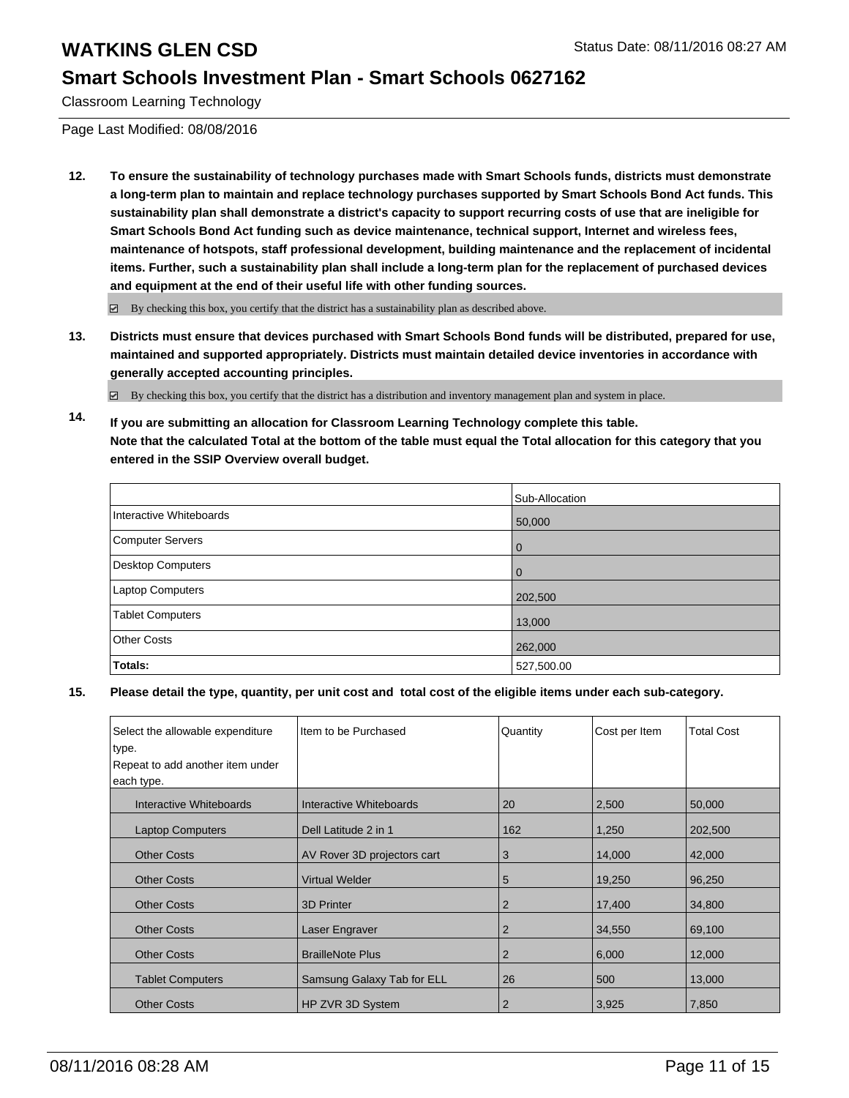### **Smart Schools Investment Plan - Smart Schools 0627162**

Classroom Learning Technology

Page Last Modified: 08/08/2016

**12. To ensure the sustainability of technology purchases made with Smart Schools funds, districts must demonstrate a long-term plan to maintain and replace technology purchases supported by Smart Schools Bond Act funds. This sustainability plan shall demonstrate a district's capacity to support recurring costs of use that are ineligible for Smart Schools Bond Act funding such as device maintenance, technical support, Internet and wireless fees, maintenance of hotspots, staff professional development, building maintenance and the replacement of incidental items. Further, such a sustainability plan shall include a long-term plan for the replacement of purchased devices and equipment at the end of their useful life with other funding sources.**

 $\boxtimes$  By checking this box, you certify that the district has a sustainability plan as described above.

**13. Districts must ensure that devices purchased with Smart Schools Bond funds will be distributed, prepared for use, maintained and supported appropriately. Districts must maintain detailed device inventories in accordance with generally accepted accounting principles.**

 $\boxtimes$  By checking this box, you certify that the district has a distribution and inventory management plan and system in place.

**14. If you are submitting an allocation for Classroom Learning Technology complete this table. Note that the calculated Total at the bottom of the table must equal the Total allocation for this category that you entered in the SSIP Overview overall budget.**

|                         | Sub-Allocation |
|-------------------------|----------------|
| Interactive Whiteboards | 50,000         |
| Computer Servers        | $\Omega$       |
| Desktop Computers       | $\Omega$       |
| Laptop Computers        | 202,500        |
| <b>Tablet Computers</b> | 13,000         |
| Other Costs             | 262,000        |
| Totals:                 | 527,500.00     |

| Select the allowable expenditure | Item to be Purchased        | Quantity | Cost per Item | <b>Total Cost</b> |
|----------------------------------|-----------------------------|----------|---------------|-------------------|
| type.                            |                             |          |               |                   |
| Repeat to add another item under |                             |          |               |                   |
| each type.                       |                             |          |               |                   |
| Interactive Whiteboards          | Interactive Whiteboards     | 20       | 2,500         | 50,000            |
| <b>Laptop Computers</b>          | Dell Latitude 2 in 1        | 162      | 1,250         | 202,500           |
| <b>Other Costs</b>               | AV Rover 3D projectors cart | 3        | 14,000        | 42,000            |
| <b>Other Costs</b>               | <b>Virtual Welder</b>       | 5        | 19,250        | 96,250            |
| <b>Other Costs</b>               | <b>3D Printer</b>           | 2        | 17,400        | 34,800            |
| <b>Other Costs</b>               | Laser Engraver              | 2        | 34,550        | 69,100            |
| <b>Other Costs</b>               | <b>BrailleNote Plus</b>     | 2        | 6,000         | 12,000            |
| <b>Tablet Computers</b>          | Samsung Galaxy Tab for ELL  | 26       | 500           | 13,000            |
| <b>Other Costs</b>               | HP ZVR 3D System            | 2        | 3,925         | 7,850             |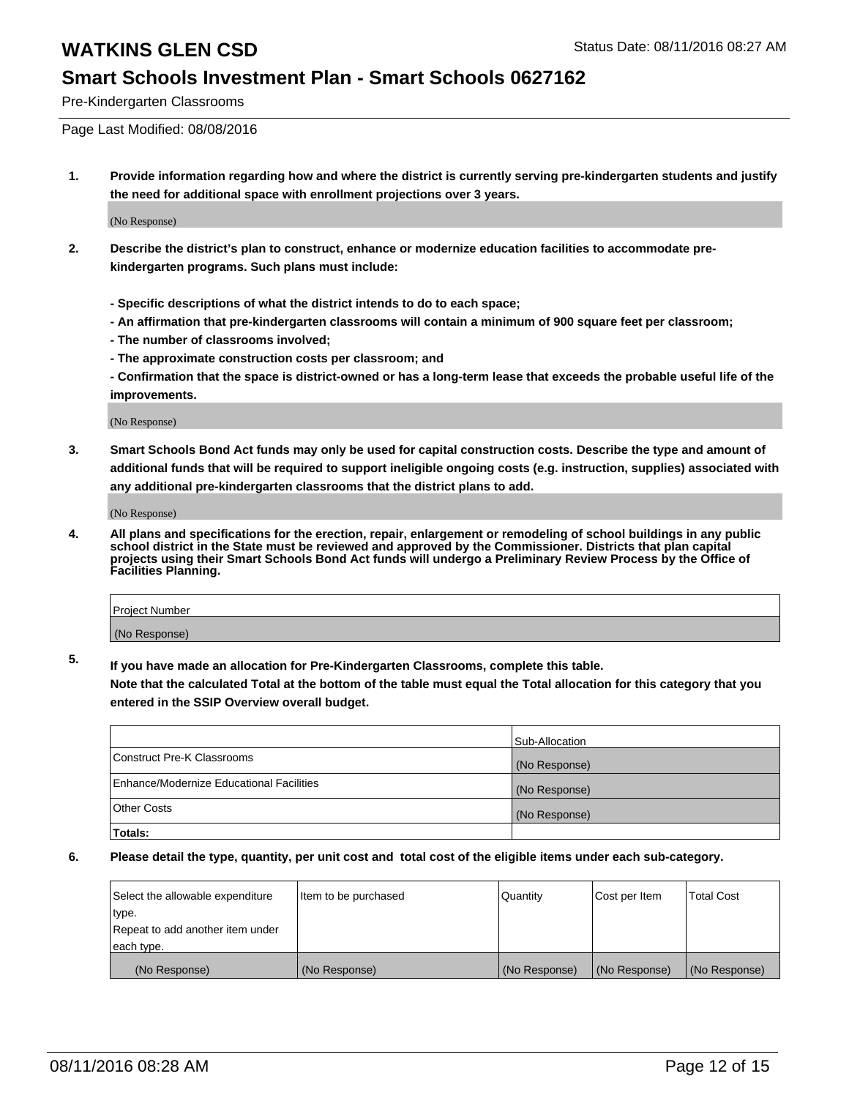### **Smart Schools Investment Plan - Smart Schools 0627162**

Pre-Kindergarten Classrooms

Page Last Modified: 08/08/2016

**1. Provide information regarding how and where the district is currently serving pre-kindergarten students and justify the need for additional space with enrollment projections over 3 years.**

(No Response)

- **2. Describe the district's plan to construct, enhance or modernize education facilities to accommodate prekindergarten programs. Such plans must include:**
	- **Specific descriptions of what the district intends to do to each space;**
	- **An affirmation that pre-kindergarten classrooms will contain a minimum of 900 square feet per classroom;**
	- **The number of classrooms involved;**
	- **The approximate construction costs per classroom; and**
	- **Confirmation that the space is district-owned or has a long-term lease that exceeds the probable useful life of the improvements.**

(No Response)

**3. Smart Schools Bond Act funds may only be used for capital construction costs. Describe the type and amount of additional funds that will be required to support ineligible ongoing costs (e.g. instruction, supplies) associated with any additional pre-kindergarten classrooms that the district plans to add.**

(No Response)

**4. All plans and specifications for the erection, repair, enlargement or remodeling of school buildings in any public school district in the State must be reviewed and approved by the Commissioner. Districts that plan capital projects using their Smart Schools Bond Act funds will undergo a Preliminary Review Process by the Office of Facilities Planning.**

| <b>Project Number</b> |  |
|-----------------------|--|
| (No Response)         |  |

**5. If you have made an allocation for Pre-Kindergarten Classrooms, complete this table.**

**Note that the calculated Total at the bottom of the table must equal the Total allocation for this category that you entered in the SSIP Overview overall budget.**

|                                          | Sub-Allocation |
|------------------------------------------|----------------|
| Construct Pre-K Classrooms               | (No Response)  |
| Enhance/Modernize Educational Facilities | (No Response)  |
| <b>Other Costs</b>                       | (No Response)  |
| Totals:                                  |                |

| Select the allowable expenditure | litem to be purchased | Quantity      | Cost per Item | <b>Total Cost</b> |
|----------------------------------|-----------------------|---------------|---------------|-------------------|
| type.                            |                       |               |               |                   |
| Repeat to add another item under |                       |               |               |                   |
| each type.                       |                       |               |               |                   |
| (No Response)                    | (No Response)         | (No Response) | (No Response) | (No Response)     |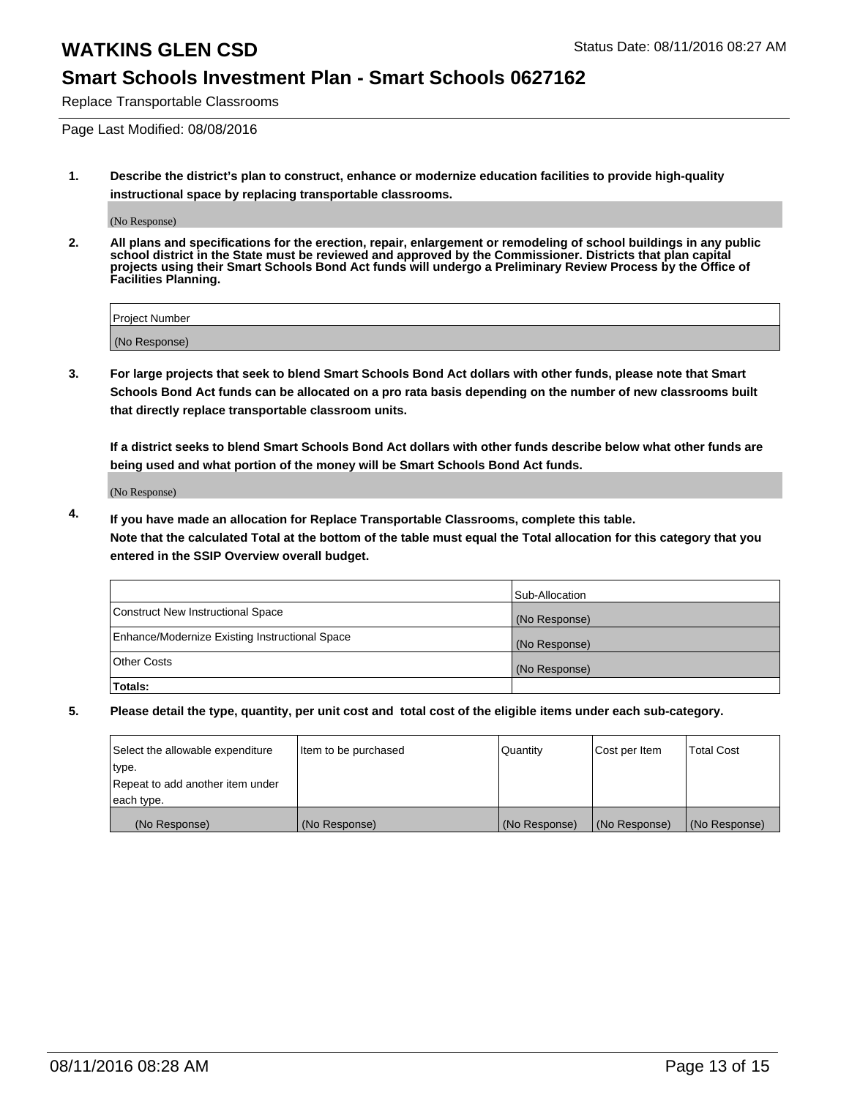### **Smart Schools Investment Plan - Smart Schools 0627162**

Replace Transportable Classrooms

Page Last Modified: 08/08/2016

**1. Describe the district's plan to construct, enhance or modernize education facilities to provide high-quality instructional space by replacing transportable classrooms.**

(No Response)

**2. All plans and specifications for the erection, repair, enlargement or remodeling of school buildings in any public school district in the State must be reviewed and approved by the Commissioner. Districts that plan capital projects using their Smart Schools Bond Act funds will undergo a Preliminary Review Process by the Office of Facilities Planning.**

| <b>Project Number</b> |  |
|-----------------------|--|
| (No Response)         |  |

**3. For large projects that seek to blend Smart Schools Bond Act dollars with other funds, please note that Smart Schools Bond Act funds can be allocated on a pro rata basis depending on the number of new classrooms built that directly replace transportable classroom units.**

**If a district seeks to blend Smart Schools Bond Act dollars with other funds describe below what other funds are being used and what portion of the money will be Smart Schools Bond Act funds.**

(No Response)

**4. If you have made an allocation for Replace Transportable Classrooms, complete this table. Note that the calculated Total at the bottom of the table must equal the Total allocation for this category that you entered in the SSIP Overview overall budget.**

|                                                | Sub-Allocation |
|------------------------------------------------|----------------|
| Construct New Instructional Space              | (No Response)  |
| Enhance/Modernize Existing Instructional Space | (No Response)  |
| Other Costs                                    | (No Response)  |
| Totals:                                        |                |

| Select the allowable expenditure | Item to be purchased | Quantity      | Cost per Item | <b>Total Cost</b> |
|----------------------------------|----------------------|---------------|---------------|-------------------|
| type.                            |                      |               |               |                   |
| Repeat to add another item under |                      |               |               |                   |
| each type.                       |                      |               |               |                   |
| (No Response)                    | (No Response)        | (No Response) | (No Response) | (No Response)     |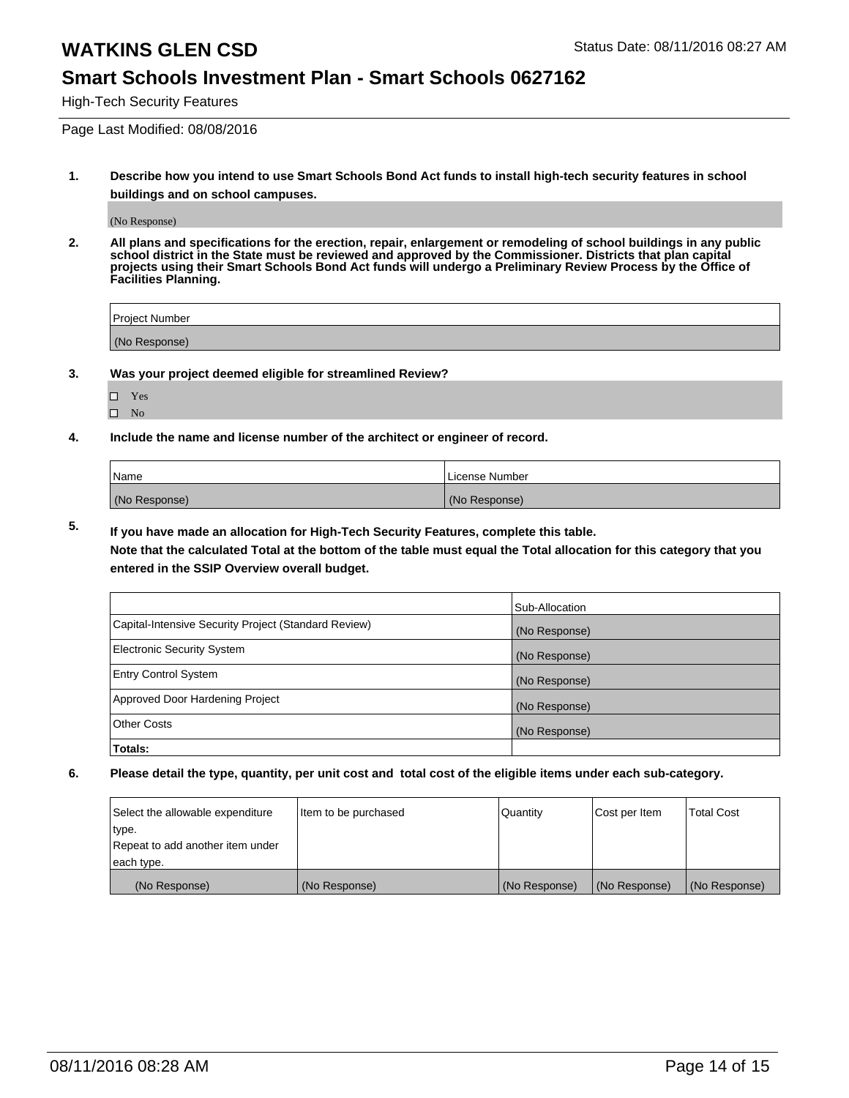### **Smart Schools Investment Plan - Smart Schools 0627162**

High-Tech Security Features

Page Last Modified: 08/08/2016

**1. Describe how you intend to use Smart Schools Bond Act funds to install high-tech security features in school buildings and on school campuses.**

(No Response)

**2. All plans and specifications for the erection, repair, enlargement or remodeling of school buildings in any public school district in the State must be reviewed and approved by the Commissioner. Districts that plan capital projects using their Smart Schools Bond Act funds will undergo a Preliminary Review Process by the Office of Facilities Planning.** 

| Project Number |  |
|----------------|--|
| (No Response)  |  |

**3. Was your project deemed eligible for streamlined Review?**

| П | Yes |  |
|---|-----|--|
| П | Nο  |  |

**4. Include the name and license number of the architect or engineer of record.**

| Name          | License Number |
|---------------|----------------|
| (No Response) | (No Response)  |

**5. If you have made an allocation for High-Tech Security Features, complete this table.**

**Note that the calculated Total at the bottom of the table must equal the Total allocation for this category that you entered in the SSIP Overview overall budget.**

|                                                      | Sub-Allocation |
|------------------------------------------------------|----------------|
| Capital-Intensive Security Project (Standard Review) | (No Response)  |
| <b>Electronic Security System</b>                    | (No Response)  |
| <b>Entry Control System</b>                          | (No Response)  |
| Approved Door Hardening Project                      | (No Response)  |
| <b>Other Costs</b>                                   | (No Response)  |
| Totals:                                              |                |

| Select the allowable expenditure | litem to be purchased | Quantity      | Cost per Item | <b>Total Cost</b> |
|----------------------------------|-----------------------|---------------|---------------|-------------------|
| type.                            |                       |               |               |                   |
| Repeat to add another item under |                       |               |               |                   |
| each type.                       |                       |               |               |                   |
| (No Response)                    | (No Response)         | (No Response) | (No Response) | (No Response)     |